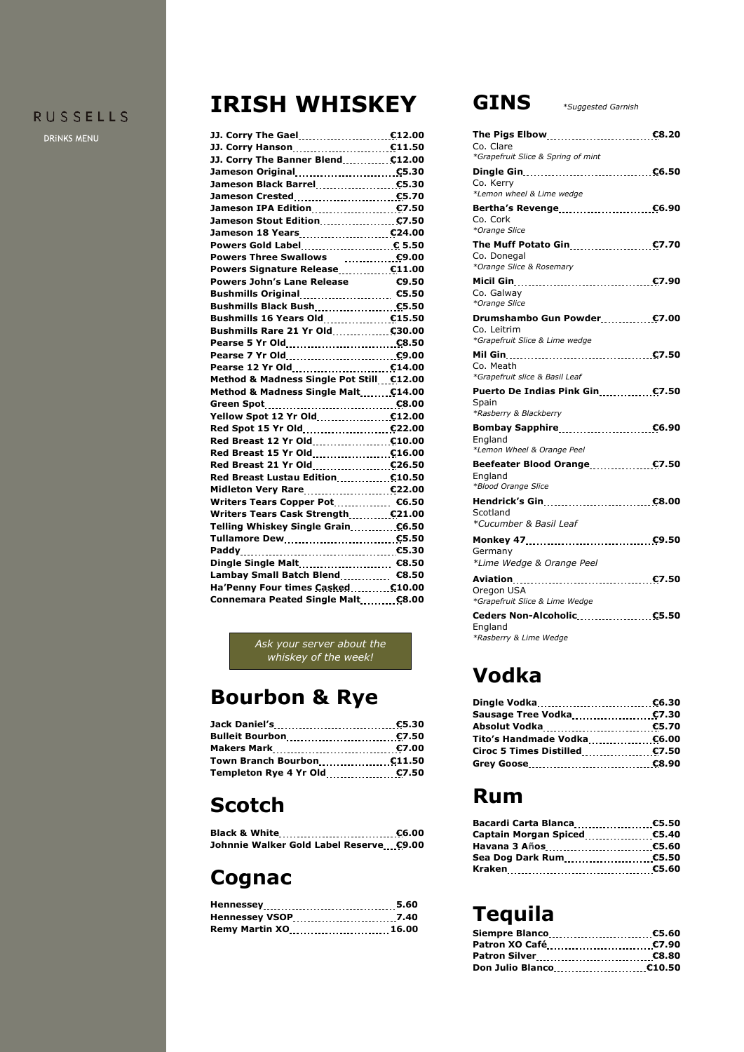#### **RUSSELLS**

DRINKS MENU

# **IRISH WHISKEY**

| JJ. Corry Hanson <b>C11.50</b>                       |       |
|------------------------------------------------------|-------|
| JJ. Corry The Banner Blend  £12.00                   |       |
| Jameson Original [11, 12, 130] C5.30                 |       |
|                                                      |       |
| Jameson Crested C5.70                                |       |
|                                                      |       |
|                                                      |       |
| Jameson 18 Years 1997 1998 1999                      |       |
|                                                      |       |
| Powers Three Swallows  €9.00                         |       |
| Powers Signature Release C11.00                      |       |
| <b>Powers John's Lane Release</b>                    | 69.50 |
|                                                      |       |
| Bushmills Black Bush <b>ELACK RESS</b>               |       |
|                                                      |       |
| Bushmills Rare 21 Yr Old C30.00                      |       |
|                                                      |       |
| Pearse 7 Yr Old <b>CALC 2018</b>                     |       |
| Pearse 12 Yr Old <b>C14.00</b>                       |       |
| Method & Madness Single Pot Still £12.00             |       |
| Method & Madness Single Malt. £14.00                 |       |
|                                                      |       |
|                                                      |       |
|                                                      |       |
|                                                      |       |
|                                                      |       |
|                                                      |       |
| Red Breast Lustau Edition <b>C10.50</b>              |       |
|                                                      |       |
| Writers Tears Copper Pot <b>C6.50</b>                |       |
| Writers Tears Cask Strength C21.00                   |       |
|                                                      |       |
| Tullamore Dew 1.1.1.1.1.1.1.1.1.1.1.1.1.1.1.1.2.5.50 |       |
|                                                      |       |
|                                                      |       |
| Lambay Small Batch Blend <b>C8.50</b>                |       |
| Ha'Penny Four times Casked  £10.00                   |       |
| Connemara Peated Single Malt <b>C8.00</b>            |       |
|                                                      |       |

*Ask your server about the whiskey of the week!*

# **Bourbon & Rye**

| <b>Bulleit Bourbon</b> 2008 2010 2010 |  |
|---------------------------------------|--|
|                                       |  |
|                                       |  |
|                                       |  |

## **Scotch**

| Johnnie Walker Gold Label Reserve €9.00 |  |
|-----------------------------------------|--|

### **Cognac**

| Remy Martin XO 16.00 |  |
|----------------------|--|

#### **GINS** *\*Suggested Garnish*

| Co. Clare<br>*Grapefruit Slice & Spring of mint                                          |  |
|------------------------------------------------------------------------------------------|--|
| Co. Kerry<br>*Lemon wheel & Lime wedge                                                   |  |
| Bertha's Revenge <b>charge</b> 66.90<br>Co. Cork<br>*Orange Slice                        |  |
| The Muff Potato Gin <b>COLOGY 12.11 FOLUT</b><br>Co. Donegal<br>*Orange Slice & Rosemary |  |
| Co. Galway<br>*Orange Slice                                                              |  |
| Co. Leitrim<br>*Grapefruit Slice & Lime wedge                                            |  |
| Co. Meath<br>*Grapefruit slice & Basil Leaf                                              |  |
|                                                                                          |  |
| Puerto De Indias Pink Gin <b>C7.50</b><br>Spain                                          |  |
| *Rasberry & Blackberry<br>England                                                        |  |
| *Lemon Wheel & Orange Peel<br>Beefeater Blood Orange C7.50<br>England                    |  |
| *Blood Orange Slice<br>Scotland                                                          |  |
| *Cucumber & Basil Leaf<br>Germany<br>*Lime Wedge & Orange Peel                           |  |
| Oregon USA<br>*Grapefruit Slice & Lime Wedge                                             |  |

# **Vodka**

| Tito's Handmade Vodka €6.00          |  |
|--------------------------------------|--|
| Ciroc 5 Times Distilled <b>CT.50</b> |  |
|                                      |  |

### **Rum**

| Bacardi Carta Blanca C5.50 |  |
|----------------------------|--|
|                            |  |
| Havana 3 Años (5.60        |  |
|                            |  |
| Kraken C5.60               |  |

# **Tequila**

| Patron XO Café <b>CT.90</b>    |  |
|--------------------------------|--|
|                                |  |
| Don Julio Blanco <b>C10.50</b> |  |